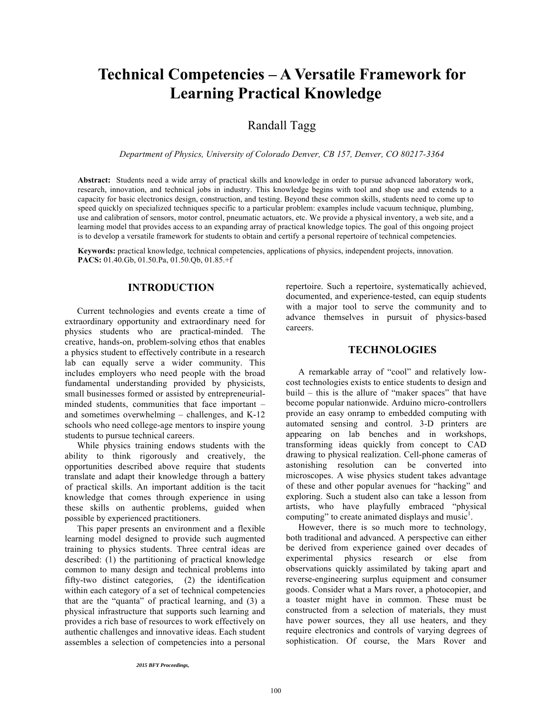# **Technical Competencies – A Versatile Framework for Learning Practical Knowledge**

Randall Tagg

*Department of Physics, University of Colorado Denver, CB 157, Denver, CO 80217-3364*

**Abstract:** Students need a wide array of practical skills and knowledge in order to pursue advanced laboratory work, research, innovation, and technical jobs in industry. This knowledge begins with tool and shop use and extends to a capacity for basic electronics design, construction, and testing. Beyond these common skills, students need to come up to speed quickly on specialized techniques specific to a particular problem: examples include vacuum technique, plumbing, use and calibration of sensors, motor control, pneumatic actuators, etc. We provide a physical inventory, a web site, and a learning model that provides access to an expanding array of practical knowledge topics. The goal of this ongoing project is to develop a versatile framework for students to obtain and certify a personal repertoire of technical competencies.

**Keywords:** practical knowledge, technical competencies, applications of physics, independent projects, innovation. **PACS:** 01.40.Gb, 01.50.Pa, 01.50.Qb, 01.85.+f

## **INTRODUCTION**

Current technologies and events create a time of extraordinary opportunity and extraordinary need for physics students who are practical-minded. The creative, hands-on, problem-solving ethos that enables a physics student to effectively contribute in a research lab can equally serve a wider community. This includes employers who need people with the broad fundamental understanding provided by physicists, small businesses formed or assisted by entrepreneurialminded students, communities that face important – and sometimes overwhelming – challenges, and K-12 schools who need college-age mentors to inspire young students to pursue technical careers.

While physics training endows students with the ability to think rigorously and creatively, the opportunities described above require that students translate and adapt their knowledge through a battery of practical skills. An important addition is the tacit knowledge that comes through experience in using these skills on authentic problems, guided when possible by experienced practitioners.

This paper presents an environment and a flexible learning model designed to provide such augmented training to physics students. Three central ideas are described: (1) the partitioning of practical knowledge common to many design and technical problems into fifty-two distinct categories, (2) the identification within each category of a set of technical competencies that are the "quanta" of practical learning, and (3) a physical infrastructure that supports such learning and provides a rich base of resources to work effectively on authentic challenges and innovative ideas. Each student assembles a selection of competencies into a personal

repertoire. Such a repertoire, systematically achieved, documented, and experience-tested, can equip students with a major tool to serve the community and to advance themselves in pursuit of physics-based careers.

#### **TECHNOLOGIES**

A remarkable array of "cool" and relatively lowcost technologies exists to entice students to design and build – this is the allure of "maker spaces" that have become popular nationwide. Arduino micro-controllers provide an easy onramp to embedded computing with automated sensing and control. 3-D printers are appearing on lab benches and in workshops, transforming ideas quickly from concept to CAD drawing to physical realization. Cell-phone cameras of astonishing resolution can be converted into microscopes. A wise physics student takes advantage of these and other popular avenues for "hacking" and exploring. Such a student also can take a lesson from artists, who have playfully embraced "physical computing" to create animated displays and music<sup>1</sup>.

However, there is so much more to technology, both traditional and advanced. A perspective can either be derived from experience gained over decades of experimental physics research or else from observations quickly assimilated by taking apart and reverse-engineering surplus equipment and consumer goods. Consider what a Mars rover, a photocopier, and a toaster might have in common. These must be constructed from a selection of materials, they must have power sources, they all use heaters, and they require electronics and controls of varying degrees of sophistication. Of course, the Mars Rover and

<sup>2015</sup> BFY Proceedings, edited by Eblen-Zayas,Behringer, and Kozminski; Peer-reviewed,doi:10.1119/bfy.2015.pr.02

Published by the American Association of Physics Teachers under a Creative Commons Attribution 3.0 license. Further distribution must maintain attribution to the article's authors, title, proceedings citation, and DOI.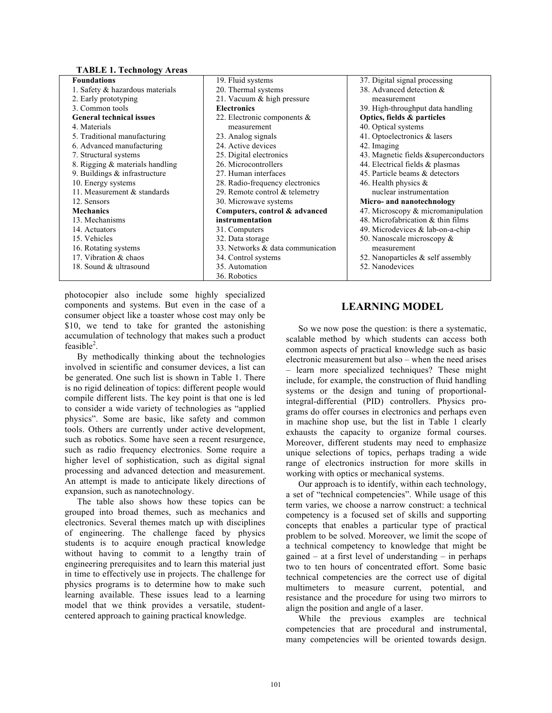#### **TABLE 1. Technology Areas**

| <b>Foundations</b>              | 19. Fluid systems                 | 37. Digital signal processing         |
|---------------------------------|-----------------------------------|---------------------------------------|
| 1. Safety & hazardous materials | 20. Thermal systems               | 38. Advanced detection &              |
| 2. Early prototyping            | 21. Vacuum & high pressure        | measurement                           |
| 3. Common tools                 | <b>Electronics</b>                | 39. High-throughput data handling     |
| <b>General technical issues</b> | 22. Electronic components $\&$    | Optics, fields & particles            |
| 4. Materials                    | measurement                       | 40. Optical systems                   |
| 5. Traditional manufacturing    | 23. Analog signals                | 41. Optoelectronics & lasers          |
| 6. Advanced manufacturing       | 24. Active devices                | 42. Imaging                           |
| 7. Structural systems           | 25. Digital electronics           | 43. Magnetic fields & superconductors |
| 8. Rigging & materials handling | 26. Microcontrollers              | 44. Electrical fields & plasmas       |
| 9. Buildings $&$ infrastructure | 27. Human interfaces              | 45. Particle beams & detectors        |
| 10. Energy systems              | 28. Radio-frequency electronics   | 46. Health physics $\&$               |
| 11. Measurement & standards     | 29. Remote control & telemetry    | nuclear instrumentation               |
| 12. Sensors                     | 30. Microwave systems             | Micro- and nanotechnology             |
| <b>Mechanics</b>                | Computers, control & advanced     | 47. Microscopy $\&$ micromanipulation |
| 13. Mechanisms                  | instrumentation                   | 48. Microfabrication & thin films     |
| 14. Actuators                   | 31. Computers                     | 49. Microdevices & lab-on-a-chip      |
| 15. Vehicles                    | 32. Data storage                  | 50. Nanoscale microscopy &            |
| 16. Rotating systems            | 33. Networks & data communication | measurement                           |
| 17. Vibration & chaos           | 34. Control systems               | 52. Nanoparticles $\&$ self assembly  |
| 18. Sound & ultrasound          | 35. Automation                    | 52. Nanodevices                       |
|                                 | 36. Robotics                      |                                       |

photocopier also include some highly specialized components and systems. But even in the case of a consumer object like a toaster whose cost may only be \$10, we tend to take for granted the astonishing accumulation of technology that makes such a product feasible $2$ .

By methodically thinking about the technologies involved in scientific and consumer devices, a list can be generated. One such list is shown in Table 1. There is no rigid delineation of topics: different people would compile different lists. The key point is that one is led to consider a wide variety of technologies as "applied physics". Some are basic, like safety and common tools. Others are currently under active development, such as robotics. Some have seen a recent resurgence, such as radio frequency electronics. Some require a higher level of sophistication, such as digital signal processing and advanced detection and measurement. An attempt is made to anticipate likely directions of expansion, such as nanotechnology.

The table also shows how these topics can be grouped into broad themes, such as mechanics and electronics. Several themes match up with disciplines of engineering. The challenge faced by physics students is to acquire enough practical knowledge without having to commit to a lengthy train of engineering prerequisites and to learn this material just in time to effectively use in projects. The challenge for physics programs is to determine how to make such learning available. These issues lead to a learning model that we think provides a versatile, studentcentered approach to gaining practical knowledge.

# **LEARNING MODEL**

So we now pose the question: is there a systematic, scalable method by which students can access both common aspects of practical knowledge such as basic electronic measurement but also – when the need arises – learn more specialized techniques? These might include, for example, the construction of fluid handling systems or the design and tuning of proportionalintegral-differential (PID) controllers. Physics programs do offer courses in electronics and perhaps even in machine shop use, but the list in Table 1 clearly exhausts the capacity to organize formal courses. Moreover, different students may need to emphasize unique selections of topics, perhaps trading a wide range of electronics instruction for more skills in working with optics or mechanical systems.

Our approach is to identify, within each technology, a set of "technical competencies". While usage of this term varies, we choose a narrow construct: a technical competency is a focused set of skills and supporting concepts that enables a particular type of practical problem to be solved. Moreover, we limit the scope of a technical competency to knowledge that might be gained – at a first level of understanding – in perhaps two to ten hours of concentrated effort. Some basic technical competencies are the correct use of digital multimeters to measure current, potential, and resistance and the procedure for using two mirrors to align the position and angle of a laser.

While the previous examples are technical competencies that are procedural and instrumental, many competencies will be oriented towards design.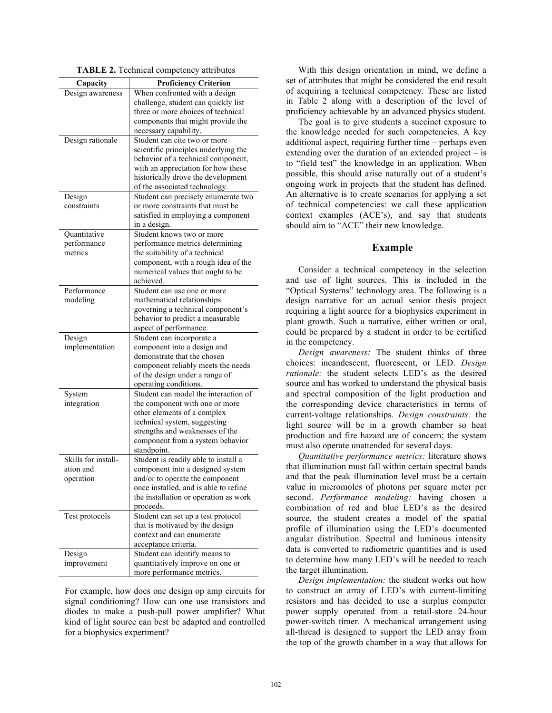| Capacity            | <b>Proficiency Criterion</b>                   |  |
|---------------------|------------------------------------------------|--|
| Design awareness    | When confronted with a design                  |  |
|                     | challenge, student can quickly list            |  |
|                     | three or more choices of technical             |  |
|                     | components that might provide the              |  |
|                     | necessary capability.                          |  |
| Design rationale    | Student can cite two or more                   |  |
|                     | scientific principles underlying the           |  |
|                     | behavior of a technical component,             |  |
|                     | with an appreciation for how these             |  |
|                     | historically drove the development             |  |
|                     | of the associated technology.                  |  |
| Design              | Student can precisely enumerate two            |  |
| constraints         | or more constraints that must be               |  |
|                     | satisfied in employing a component             |  |
|                     | in a design.                                   |  |
| Quantitative        | Student knows two or more                      |  |
| performance         | performance metrics determining                |  |
| metrics             | the suitability of a technical                 |  |
|                     | component, with a rough idea of the            |  |
|                     | numerical values that ought to be<br>achieved. |  |
| Performance         | Student can use one or more                    |  |
|                     | mathematical relationships                     |  |
| modeling            | governing a technical component's              |  |
|                     | behavior to predict a measurable               |  |
|                     | aspect of performance.                         |  |
| Design              | Student can incorporate a                      |  |
| implementation      | component into a design and                    |  |
|                     | demonstrate that the chosen                    |  |
|                     | component reliably meets the needs             |  |
|                     | of the design under a range of                 |  |
|                     | operating conditions.                          |  |
| System              | Student can model the interaction of           |  |
| integration         | the component with one or more                 |  |
|                     | other elements of a complex                    |  |
|                     | technical system, suggesting                   |  |
|                     | strengths and weaknesses of the                |  |
|                     | component from a system behavior               |  |
|                     | standpoint.                                    |  |
| Skills for install- | Student is readily able to install a           |  |
| ation and           | component into a designed system               |  |
| operation           | and/or to operate the component                |  |
|                     | once installed, and is able to refine          |  |
|                     | the installation or operation as work          |  |
|                     | proceeds.                                      |  |
| Test protocols      | Student can set up a test protocol             |  |
|                     | that is motivated by the design                |  |
|                     | context and can enumerate                      |  |
|                     | acceptance criteria.                           |  |
| Design              | Student can identify means to                  |  |
| improvement         | quantitatively improve on one or               |  |
|                     | more performance metrics.                      |  |

**TABLE 2.** Technical competency attributes

For example, how does one design op amp circuits for signal conditioning? How can one use transistors and diodes to make a push-pull power amplifier? What kind of light source can best be adapted and controlled for a biophysics experiment?

With this design orientation in mind, we define a set of attributes that might be considered the end result of acquiring a technical competency. These are listed in Table 2 along with a description of the level of proficiency achievable by an advanced physics student.

The goal is to give students a succinct exposure to the knowledge needed for such competencies. A key additional aspect, requiring further time – perhaps even extending over the duration of an extended project – is to "field test" the knowledge in an application. When possible, this should arise naturally out of a student's ongoing work in projects that the student has defined. An alternative is to create scenarios for applying a set of technical competencies: we call these application context examples (ACE's), and say that students should aim to "ACE" their new knowledge.

# **Example**

Consider a technical competency in the selection and use of light sources. This is included in the "Optical Systems" technology area. The following is a design narrative for an actual senior thesis project requiring a light source for a biophysics experiment in plant growth. Such a narrative, either written or oral, could be prepared by a student in order to be certified in the competency.

*Design awareness:* The student thinks of three choices: incandescent, fluorescent, or LED. *Design rationale:* the student selects LED's as the desired source and has worked to understand the physical basis and spectral composition of the light production and the corresponding device characteristics in terms of current-voltage relationships. *Design constraints:* the light source will be in a growth chamber so heat production and fire hazard are of concern; the system must also operate unattended for several days.

*Quantitative performance metrics:* literature shows that illumination must fall within certain spectral bands and that the peak illumination level must be a certain value in micromoles of photons per square meter per second. *Performance modeling:* having chosen a combination of red and blue LED's as the desired source, the student creates a model of the spatial profile of illumination using the LED's documented angular distribution. Spectral and luminous intensity data is converted to radiometric quantities and is used to determine how many LED's will be needed to reach the target illumination.

*Design implementation:* the student works out how to construct an array of LED's with current-limiting resistors and has decided to use a surplus computer power supply operated from a retail-store 24-hour power-switch timer. A mechanical arrangement using all-thread is designed to support the LED array from the top of the growth chamber in a way that allows for